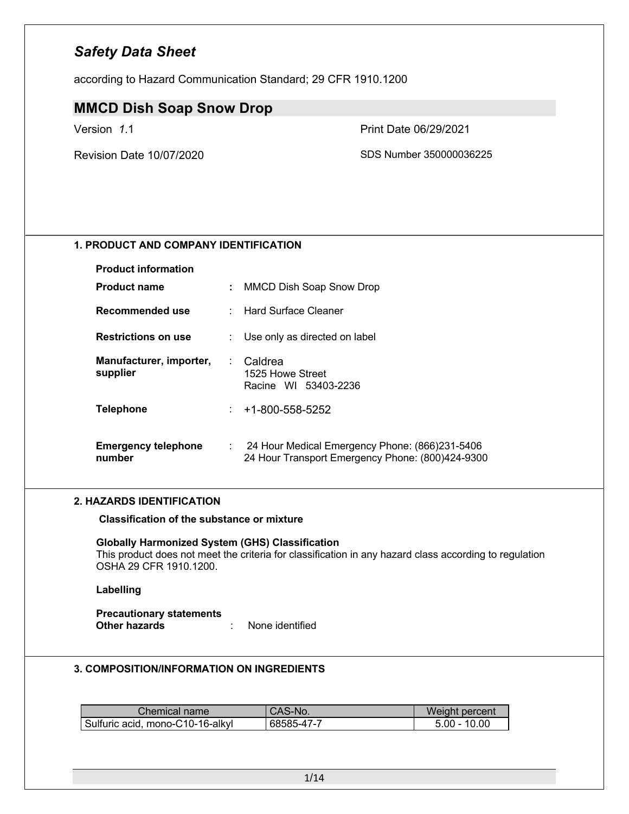according to Hazard Communication Standard; 29 CFR 1910.1200

### **MMCD Dish Soap Snow Drop**

Version *1*.1 Print Date 06/29/2021

Revision Date 10/07/2020 **SDS Number 350000036225** 

#### **1. PRODUCT AND COMPANY IDENTIFICATION**

| <b>Product information</b>           |               |                                                                                                    |
|--------------------------------------|---------------|----------------------------------------------------------------------------------------------------|
| <b>Product name</b>                  | ÷             | MMCD Dish Soap Snow Drop                                                                           |
| Recommended use                      |               | : Hard Surface Cleaner                                                                             |
| <b>Restrictions on use</b>           |               | Use only as directed on label                                                                      |
| Manufacturer, importer,<br>supplier  | Caldrea<br>÷. | 1525 Howe Street<br>Racine WI 53403-2236                                                           |
| <b>Telephone</b>                     | ÷.            | +1-800-558-5252                                                                                    |
| <b>Emergency telephone</b><br>number | ÷             | 24 Hour Medical Emergency Phone: (866)231-5406<br>24 Hour Transport Emergency Phone: (800)424-9300 |

#### **2. HAZARDS IDENTIFICATION**

**Classification of the substance or mixture**

#### **Globally Harmonized System (GHS) Classification**

This product does not meet the criteria for classification in any hazard class according to regulation OSHA 29 CFR 1910.1200.

#### **Labelling**

**Precautionary statements Other hazards** : None identified

#### **3. COMPOSITION/INFORMATION ON INGREDIENTS**

| Chemical name                    | CAS-No.    | Weight percent |
|----------------------------------|------------|----------------|
| Sulfuric acid, mono-C10-16-alkyl | 68585-47-7 | $5.00 - 10.00$ |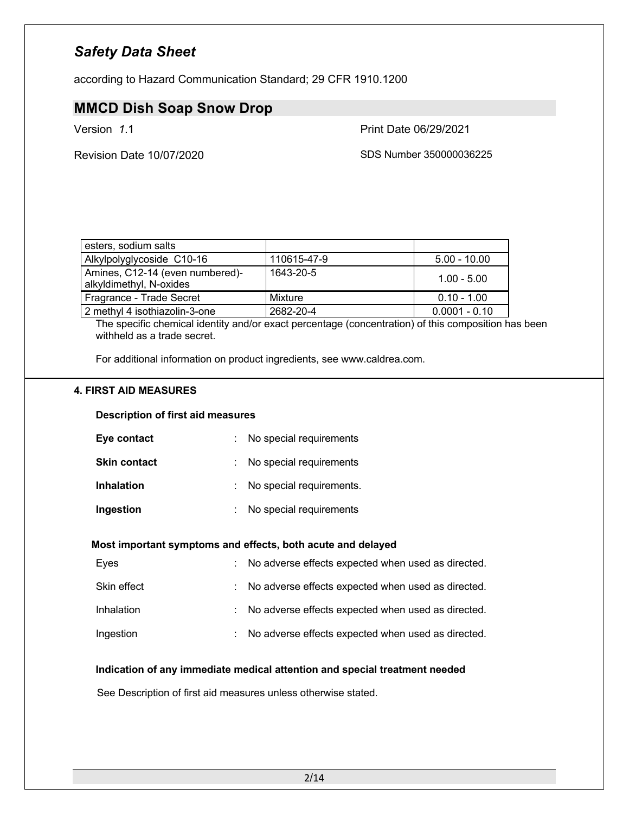according to Hazard Communication Standard; 29 CFR 1910.1200

### **MMCD Dish Soap Snow Drop**

Version *1*.1 Print Date 06/29/2021

Revision Date 10/07/2020 **SDS Number 350000036225** 

| esters, sodium salts                                       |             |                 |
|------------------------------------------------------------|-------------|-----------------|
| Alkylpolyglycoside C10-16                                  | 110615-47-9 | $5.00 - 10.00$  |
| Amines, C12-14 (even numbered)-<br>alkyldimethyl, N-oxides | 1643-20-5   | $1.00 - 5.00$   |
| Fragrance - Trade Secret                                   | Mixture     | $0.10 - 1.00$   |
| 2 methyl 4 isothiazolin-3-one                              | 2682-20-4   | $0.0001 - 0.10$ |

The specific chemical identity and/or exact percentage (concentration) of this composition has been withheld as a trade secret.

For additional information on product ingredients, see www.caldrea.com.

#### **4. FIRST AID MEASURES**

#### **Description of first aid measures**

| Eye contact         | No special requirements  |
|---------------------|--------------------------|
| <b>Skin contact</b> | No special requirements  |
| <b>Inhalation</b>   | No special requirements. |
| Ingestion           | No special requirements  |

#### **Most important symptoms and effects, both acute and delayed**

| Eves        | : No adverse effects expected when used as directed. |
|-------------|------------------------------------------------------|
| Skin effect | : No adverse effects expected when used as directed. |
| Inhalation  | : No adverse effects expected when used as directed. |
| Ingestion   | : No adverse effects expected when used as directed. |

#### **Indication of any immediate medical attention and special treatment needed**

See Description of first aid measures unless otherwise stated.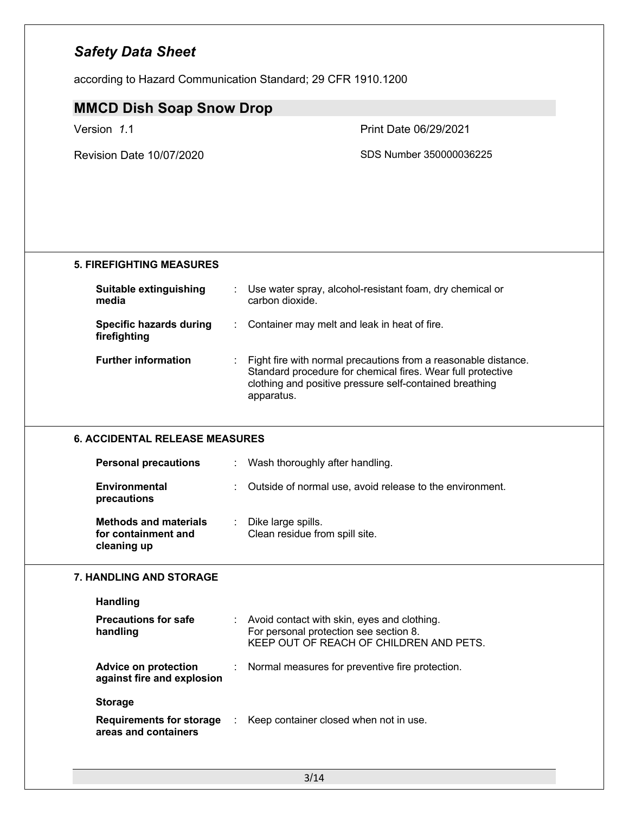according to Hazard Communication Standard; 29 CFR 1910.1200

### **MMCD Dish Soap Snow Drop**

Version *1*.1 Print Date 06/29/2021

Revision Date 10/07/2020 SDS Number 350000036225

### **5. FIREFIGHTING MEASURES**

| Suitable extinguishing<br>media         | Use water spray, alcohol-resistant foam, dry chemical or<br>carbon dioxide.                                                                                                              |  |
|-----------------------------------------|------------------------------------------------------------------------------------------------------------------------------------------------------------------------------------------|--|
| Specific hazards during<br>firefighting | : Container may melt and leak in heat of fire.                                                                                                                                           |  |
| <b>Further information</b>              | Fight fire with normal precautions from a reasonable distance.<br>Standard procedure for chemical fires. Wear full protective<br>clothing and positive pressure self-contained breathing |  |

apparatus.

#### **6. ACCIDENTAL RELEASE MEASURES**

| <b>Personal precautions</b>                                        | Wash thoroughly after handling.                               |
|--------------------------------------------------------------------|---------------------------------------------------------------|
| Environmental<br>precautions                                       | Outside of normal use, avoid release to the environment.<br>÷ |
| <b>Methods and materials</b><br>for containment and<br>cleaning up | Dike large spills.<br>Clean residue from spill site.          |

#### **7. HANDLING AND STORAGE**

| <b>Handling</b> |  |
|-----------------|--|
|-----------------|--|

| <b>Precautions for safe</b><br>handling                 |    | Avoid contact with skin, eyes and clothing.<br>For personal protection see section 8.<br>KEEP OUT OF REACH OF CHILDREN AND PETS. |
|---------------------------------------------------------|----|----------------------------------------------------------------------------------------------------------------------------------|
| Advice on protection<br>against fire and explosion      | ÷. | Normal measures for preventive fire protection.                                                                                  |
| <b>Storage</b>                                          |    |                                                                                                                                  |
| <b>Requirements for storage</b><br>areas and containers |    | Keep container closed when not in use.                                                                                           |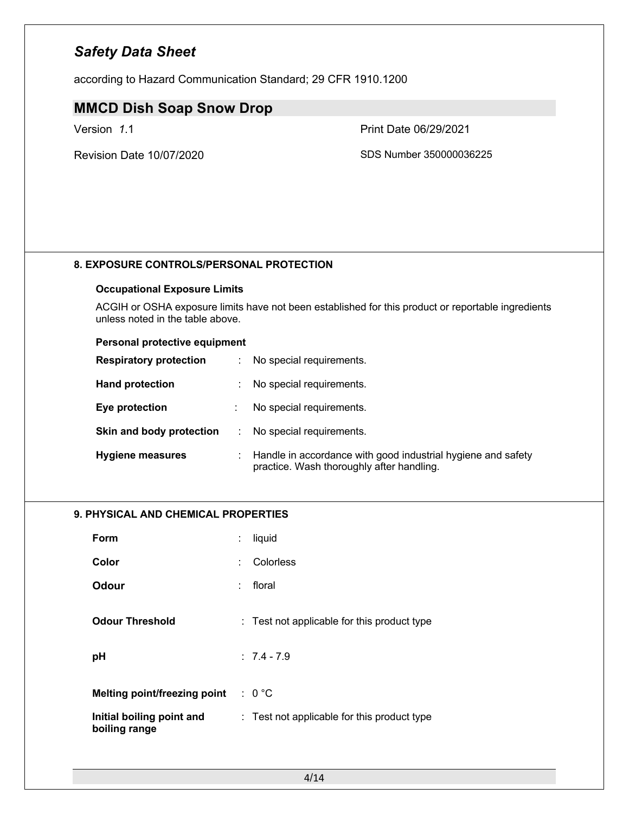according to Hazard Communication Standard; 29 CFR 1910.1200

### **MMCD Dish Soap Snow Drop**

Revision Date 10/07/2020 SDS Number 350000036225

Version *1*.1 Print Date 06/29/2021

# **Occupational Exposure Limits**

**8. EXPOSURE CONTROLS/PERSONAL PROTECTION**

ACGIH or OSHA exposure limits have not been established for this product or reportable ingredients unless noted in the table above.

#### **Personal protective equipment**

| <b>Respiratory protection</b> |    | No special requirements.                                                                                  |
|-------------------------------|----|-----------------------------------------------------------------------------------------------------------|
| <b>Hand protection</b>        |    | No special requirements.                                                                                  |
| Eye protection                |    | No special requirements.                                                                                  |
| Skin and body protection      | ÷. | No special requirements.                                                                                  |
| <b>Hygiene measures</b>       |    | Handle in accordance with good industrial hygiene and safety<br>practice. Wash thoroughly after handling. |

#### **9. PHYSICAL AND CHEMICAL PROPERTIES**

| Form                                       | liquid                                      |  |
|--------------------------------------------|---------------------------------------------|--|
| Color                                      | Colorless                                   |  |
| Odour                                      | floral                                      |  |
| <b>Odour Threshold</b>                     | : Test not applicable for this product type |  |
| рH                                         | $: 7.4 - 7.9$                               |  |
| <b>Melting point/freezing point</b>        | $: 0^{\circ}C$                              |  |
| Initial boiling point and<br>boiling range | : Test not applicable for this product type |  |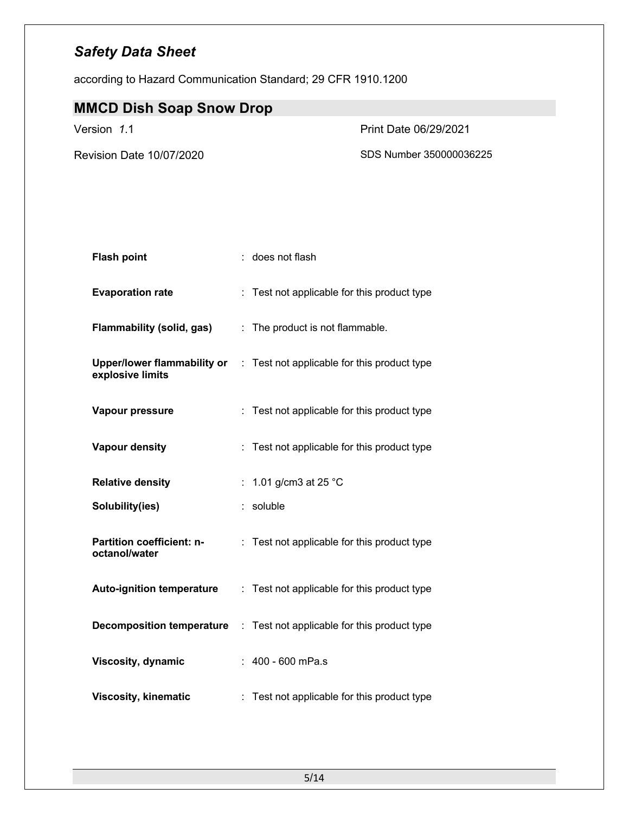according to Hazard Communication Standard; 29 CFR 1910.1200

# **MMCD Dish Soap Snow Drop**

Version *1*.1 Print Date 06/29/2021

Revision Date 10/07/2020 SDS Number 350000036225

| <b>Flash point</b>                                     |    | does not flash                              |
|--------------------------------------------------------|----|---------------------------------------------|
| <b>Evaporation rate</b>                                |    | : Test not applicable for this product type |
| <b>Flammability (solid, gas)</b>                       | t. | The product is not flammable.               |
| <b>Upper/lower flammability or</b><br>explosive limits |    | : Test not applicable for this product type |
| Vapour pressure                                        |    | Test not applicable for this product type   |
| <b>Vapour density</b>                                  |    | Test not applicable for this product type   |
| <b>Relative density</b>                                |    | 1.01 g/cm3 at 25 °C                         |
| Solubility(ies)                                        | t. | soluble                                     |
| <b>Partition coefficient: n-</b><br>octanol/water      |    | Test not applicable for this product type   |
| <b>Auto-ignition temperature</b>                       |    | : Test not applicable for this product type |
| <b>Decomposition temperature</b>                       | ÷. | Test not applicable for this product type   |
| <b>Viscosity, dynamic</b>                              |    | $: 400 - 600$ mPa.s                         |
| <b>Viscosity, kinematic</b>                            |    | Test not applicable for this product type   |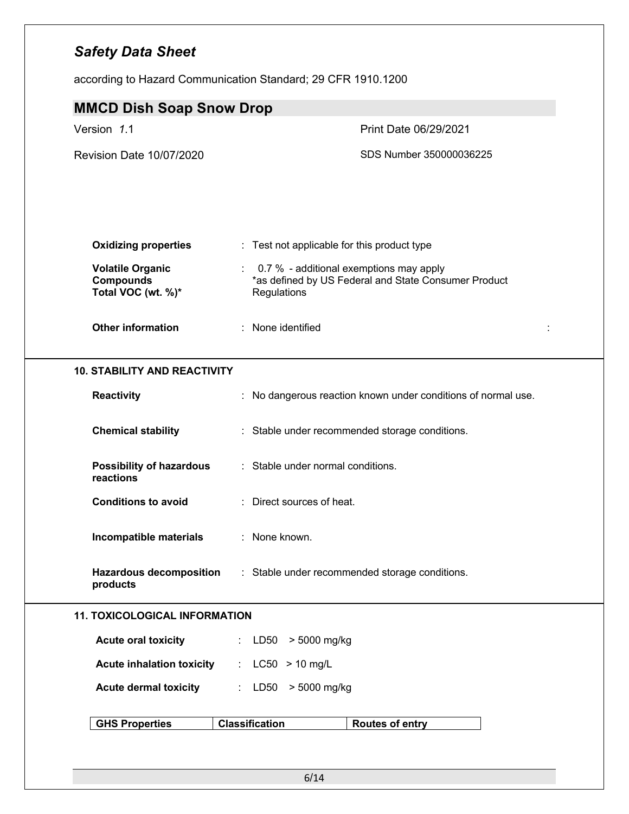according to Hazard Communication Standard; 29 CFR 1910.1200

| <b>MMCD Dish Soap Snow Drop</b>                                   |                                                                                                                  |
|-------------------------------------------------------------------|------------------------------------------------------------------------------------------------------------------|
| Version 1.1                                                       | Print Date 06/29/2021                                                                                            |
| Revision Date 10/07/2020                                          | SDS Number 350000036225                                                                                          |
| <b>Oxidizing properties</b>                                       | : Test not applicable for this product type                                                                      |
| <b>Volatile Organic</b><br><b>Compounds</b><br>Total VOC (wt. %)* | : 0.7 % - additional exemptions may apply<br>*as defined by US Federal and State Consumer Product<br>Regulations |
| <b>Other information</b>                                          | : None identified                                                                                                |
| <b>10. STABILITY AND REACTIVITY</b>                               |                                                                                                                  |
| Reactivity                                                        | : No dangerous reaction known under conditions of normal use.                                                    |
| <b>Chemical stability</b>                                         | : Stable under recommended storage conditions.                                                                   |
| <b>Possibility of hazardous</b><br>reactions                      | : Stable under normal conditions.                                                                                |
| <b>Conditions to avoid</b>                                        | : Direct sources of heat.                                                                                        |
| Incompatible materials                                            | : None known.                                                                                                    |
| <b>Hazardous decomposition</b><br>products                        | : Stable under recommended storage conditions.                                                                   |
| <b>11. TOXICOLOGICAL INFORMATION</b>                              |                                                                                                                  |
| <b>Acute oral toxicity</b>                                        | : LD50 > 5000 mg/kg                                                                                              |
| <b>Acute inhalation toxicity</b>                                  | : $LC50 > 10$ mg/L                                                                                               |
| <b>Acute dermal toxicity</b>                                      | : LD50 > 5000 mg/kg                                                                                              |
| <b>GHS Properties</b>                                             | <b>Classification</b><br><b>Routes of entry</b>                                                                  |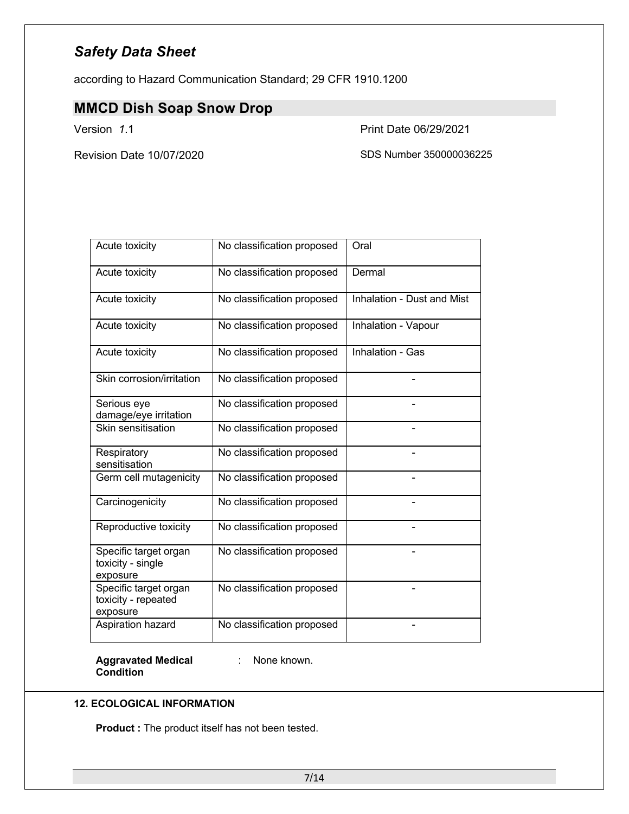according to Hazard Communication Standard; 29 CFR 1910.1200

### **MMCD Dish Soap Snow Drop**

Version *1*.1 Print Date 06/29/2021

Revision Date 10/07/2020 SDS Number 350000036225

| Acute toxicity                                           | No classification proposed | Oral                       |
|----------------------------------------------------------|----------------------------|----------------------------|
| Acute toxicity                                           | No classification proposed | Dermal                     |
| Acute toxicity                                           | No classification proposed | Inhalation - Dust and Mist |
| Acute toxicity                                           | No classification proposed | Inhalation - Vapour        |
| Acute toxicity                                           | No classification proposed | Inhalation - Gas           |
| Skin corrosion/irritation                                | No classification proposed |                            |
| Serious eye<br>damage/eye irritation                     | No classification proposed |                            |
| Skin sensitisation                                       | No classification proposed |                            |
| Respiratory<br>sensitisation                             | No classification proposed |                            |
| Germ cell mutagenicity                                   | No classification proposed |                            |
| Carcinogenicity                                          | No classification proposed |                            |
| Reproductive toxicity                                    | No classification proposed |                            |
| Specific target organ<br>toxicity - single<br>exposure   | No classification proposed |                            |
| Specific target organ<br>toxicity - repeated<br>exposure | No classification proposed |                            |
| Aspiration hazard                                        | No classification proposed |                            |

**Aggravated Medical**  : None known. **Condition**

#### **12. ECOLOGICAL INFORMATION**

**Product :** The product itself has not been tested.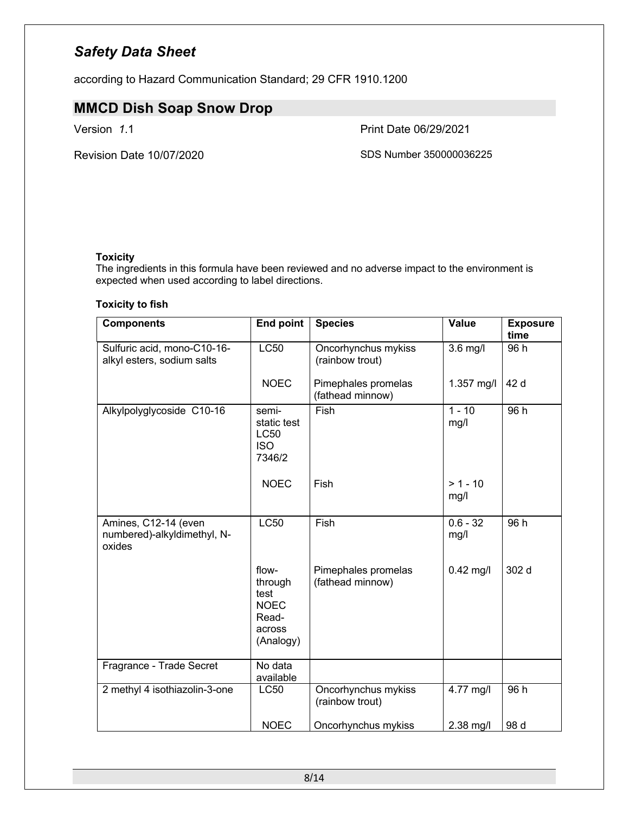according to Hazard Communication Standard; 29 CFR 1910.1200

### **MMCD Dish Soap Snow Drop**

Version *1*.1 Print Date 06/29/2021

Revision Date 10/07/2020 SDS Number 350000036225

#### **Toxicity**

The ingredients in this formula have been reviewed and no adverse impact to the environment is expected when used according to label directions.

#### **Toxicity to fish**

| <b>Components</b>                                             | <b>End point</b>                                                        | <b>Species</b>                          | <b>Value</b>       | <b>Exposure</b><br>time |
|---------------------------------------------------------------|-------------------------------------------------------------------------|-----------------------------------------|--------------------|-------------------------|
| Sulfuric acid, mono-C10-16-<br>alkyl esters, sodium salts     | <b>LC50</b>                                                             | Oncorhynchus mykiss<br>(rainbow trout)  | $3.6$ mg/l         | 96 h                    |
|                                                               | <b>NOEC</b>                                                             | Pimephales promelas<br>(fathead minnow) | 1.357 mg/l         | 42 d                    |
| Alkylpolyglycoside C10-16                                     | semi-<br>static test<br><b>LC50</b><br><b>ISO</b><br>7346/2             | Fish                                    | $1 - 10$<br>mg/l   | 96h                     |
|                                                               | <b>NOEC</b>                                                             | <b>Fish</b>                             | $> 1 - 10$<br>mg/l |                         |
| Amines, C12-14 (even<br>numbered)-alkyldimethyl, N-<br>oxides | <b>LC50</b>                                                             | Fish                                    | $0.6 - 32$<br>mg/l | 96 h                    |
|                                                               | flow-<br>through<br>test<br><b>NOEC</b><br>Read-<br>across<br>(Analogy) | Pimephales promelas<br>(fathead minnow) | $0.42$ mg/l        | 302 d                   |
| Fragrance - Trade Secret                                      | No data<br>available                                                    |                                         |                    |                         |
| 2 methyl 4 isothiazolin-3-one                                 | <b>LC50</b>                                                             | Oncorhynchus mykiss<br>(rainbow trout)  | 4.77 mg/l          | 96 h                    |
|                                                               | <b>NOEC</b>                                                             | Oncorhynchus mykiss                     | 2.38 mg/l          | 98 d                    |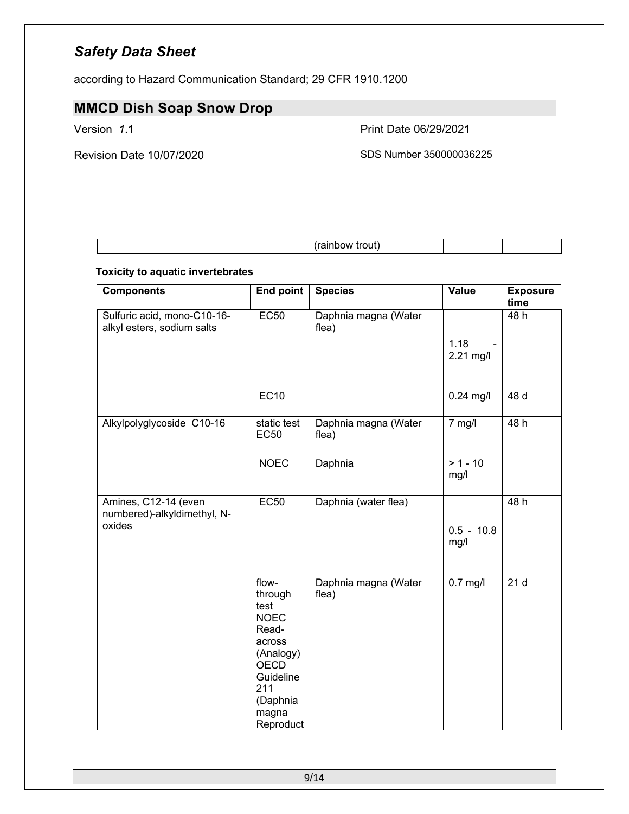according to Hazard Communication Standard; 29 CFR 1910.1200

# **MMCD Dish Soap Snow Drop**

Version *1*.1 Print Date 06/29/2021

Revision Date 10/07/2020 SDS Number 350000036225

(rainbow trout)

#### **Toxicity to aquatic invertebrates**

| <b>Components</b>                                             | <b>End point</b>                                                                                                                             | <b>Species</b>                | Value                | <b>Exposure</b><br>time |
|---------------------------------------------------------------|----------------------------------------------------------------------------------------------------------------------------------------------|-------------------------------|----------------------|-------------------------|
| Sulfuric acid, mono-C10-16-<br>alkyl esters, sodium salts     | EC50                                                                                                                                         | Daphnia magna (Water<br>flea) | 1.18<br>$2.21$ mg/l  | 48 h                    |
|                                                               | <b>EC10</b>                                                                                                                                  |                               | $0.24$ mg/l          | 48 d                    |
| Alkylpolyglycoside C10-16                                     | static test<br><b>EC50</b>                                                                                                                   | Daphnia magna (Water<br>flea) | $7$ mg/l             | 48h                     |
|                                                               | <b>NOEC</b>                                                                                                                                  | Daphnia                       | $> 1 - 10$<br>mg/l   |                         |
| Amines, C12-14 (even<br>numbered)-alkyldimethyl, N-<br>oxides | <b>EC50</b>                                                                                                                                  | Daphnia (water flea)          | $0.5 - 10.8$<br>mg/l | 48 h                    |
|                                                               | flow-<br>through<br>test<br><b>NOEC</b><br>Read-<br>across<br>(Analogy)<br><b>OECD</b><br>Guideline<br>211<br>(Daphnia<br>magna<br>Reproduct | Daphnia magna (Water<br>flea) | $0.7$ mg/l           | 21d                     |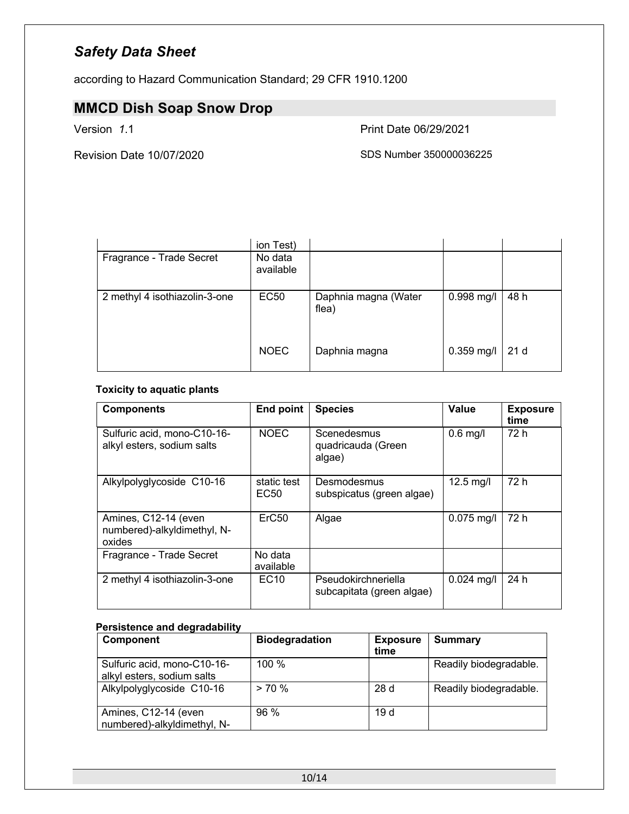according to Hazard Communication Standard; 29 CFR 1910.1200

# **MMCD Dish Soap Snow Drop**

Version *1*.1 Print Date 06/29/2021

Revision Date 10/07/2020 SDS Number 350000036225

|                               | ion Test)            |                               |              |                 |
|-------------------------------|----------------------|-------------------------------|--------------|-----------------|
| Fragrance - Trade Secret      | No data<br>available |                               |              |                 |
| 2 methyl 4 isothiazolin-3-one | <b>EC50</b>          | Daphnia magna (Water<br>flea) | 0.998 mg/l   | 48 h            |
|                               | <b>NOEC</b>          | Daphnia magna                 | $0.359$ mg/l | 21 <sub>d</sub> |

#### **Toxicity to aquatic plants**

| <b>Components</b>                                             | End point                       | <b>Species</b>                                   | Value        | <b>Exposure</b><br>time |
|---------------------------------------------------------------|---------------------------------|--------------------------------------------------|--------------|-------------------------|
| Sulfuric acid, mono-C10-16-<br>alkyl esters, sodium salts     | <b>NOEC</b>                     | Scenedesmus<br>quadricauda (Green<br>algae)      | $0.6$ mg/l   | 72 h                    |
| Alkylpolyglycoside C10-16                                     | static test<br>EC <sub>50</sub> | Desmodesmus<br>subspicatus (green algae)         | $12.5$ mg/l  | 72 h                    |
| Amines, C12-14 (even<br>numbered)-alkyldimethyl, N-<br>oxides | ErC <sub>50</sub>               | Algae                                            | $0.075$ mg/l | 72 h                    |
| Fragrance - Trade Secret                                      | No data<br>available            |                                                  |              |                         |
| 2 methyl 4 isothiazolin-3-one                                 | EC <sub>10</sub>                | Pseudokirchneriella<br>subcapitata (green algae) | $0.024$ mg/l | 24 h                    |

#### **Persistence and degradability**

| Component                   | <b>Biodegradation</b> | <b>Exposure</b> | <b>Summary</b>         |
|-----------------------------|-----------------------|-----------------|------------------------|
|                             |                       | time            |                        |
| Sulfuric acid, mono-C10-16- | $100 \%$              |                 | Readily biodegradable. |
| alkyl esters, sodium salts  |                       |                 |                        |
| Alkylpolyglycoside C10-16   | $> 70\%$              | 28d             | Readily biodegradable. |
|                             |                       |                 |                        |
| Amines, C12-14 (even        | $96\%$                | 19d             |                        |
| numbered)-alkyldimethyl, N- |                       |                 |                        |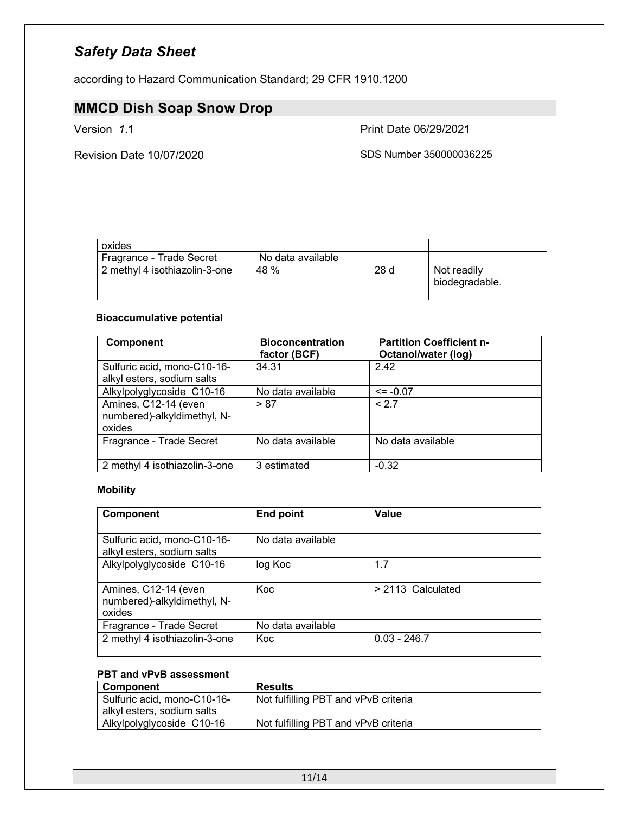according to Hazard Communication Standard; 29 CFR 1910.1200

# **MMCD Dish Soap Snow Drop**

Version *1*.1 Print Date 06/29/2021

Revision Date 10/07/2020 SDS Number 350000036225

| oxides                        |                   |     |                               |
|-------------------------------|-------------------|-----|-------------------------------|
| Fragrance - Trade Secret      | No data available |     |                               |
| 2 methyl 4 isothiazolin-3-one | 48 %              | 28d | Not readily<br>biodegradable. |

#### **Bioaccumulative potential**

| <b>Component</b>                                              | <b>Bioconcentration</b><br>factor (BCF) | <b>Partition Coefficient n-</b><br>Octanol/water (log) |
|---------------------------------------------------------------|-----------------------------------------|--------------------------------------------------------|
| Sulfuric acid, mono-C10-16-<br>alkyl esters, sodium salts     | 34.31                                   | 2.42                                                   |
| Alkylpolyglycoside C10-16                                     | No data available                       | $\le$ = -0.07                                          |
| Amines, C12-14 (even<br>numbered)-alkyldimethyl, N-<br>oxides | > 87                                    | < 2.7                                                  |
| Fragrance - Trade Secret                                      | No data available                       | No data available                                      |
| 2 methyl 4 isothiazolin-3-one                                 | 3 estimated                             | $-0.32$                                                |

#### **Mobility**

| <b>Component</b>                                              | <b>End point</b>  | Value             |
|---------------------------------------------------------------|-------------------|-------------------|
| Sulfuric acid, mono-C10-16-<br>alkyl esters, sodium salts     | No data available |                   |
| Alkylpolyglycoside C10-16                                     | log Koc           | 1.7               |
| Amines, C12-14 (even<br>numbered)-alkyldimethyl, N-<br>oxides | Koc.              | > 2113 Calculated |
| Fragrance - Trade Secret                                      | No data available |                   |
| 2 methyl 4 isothiazolin-3-one                                 | <b>Koc</b>        | $0.03 - 246.7$    |

### **PBT and vPvB assessment**

| <b>Component</b>            | <b>Results</b>                       |
|-----------------------------|--------------------------------------|
| Sulfuric acid, mono-C10-16- | Not fulfilling PBT and vPvB criteria |
| alkyl esters, sodium salts  |                                      |
| Alkylpolyglycoside C10-16   | Not fulfilling PBT and vPvB criteria |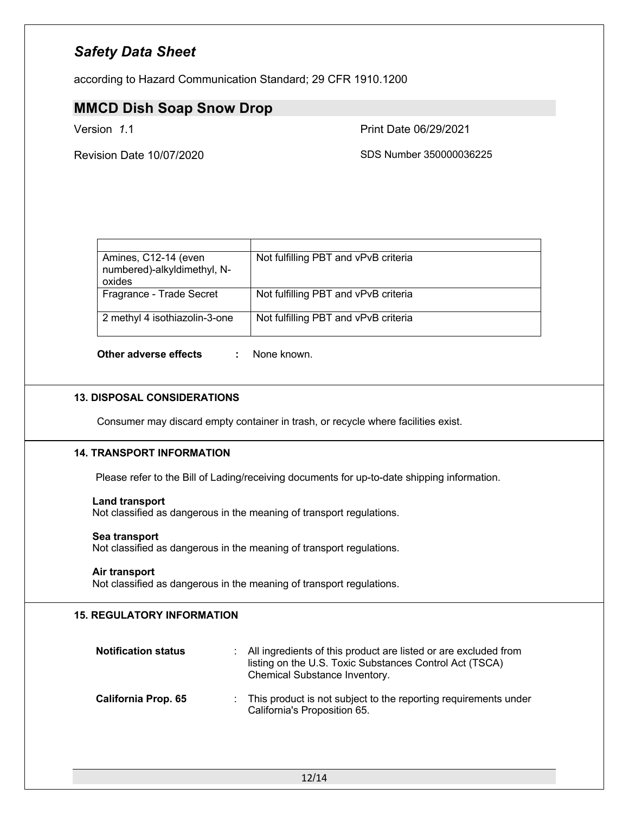according to Hazard Communication Standard; 29 CFR 1910.1200

### **MMCD Dish Soap Snow Drop**

Version *1*.1 Print Date 06/29/2021

Revision Date 10/07/2020 SDS Number 350000036225

| Amines, C12-14 (even<br>numbered)-alkyldimethyl, N-<br>oxides | Not fulfilling PBT and vPvB criteria |
|---------------------------------------------------------------|--------------------------------------|
| Fragrance - Trade Secret                                      | Not fulfilling PBT and vPvB criteria |
| 2 methyl 4 isothiazolin-3-one                                 | Not fulfilling PBT and vPvB criteria |

**Other adverse effects :** None known.

#### **13. DISPOSAL CONSIDERATIONS**

Consumer may discard empty container in trash, or recycle where facilities exist.

#### **14. TRANSPORT INFORMATION**

Please refer to the Bill of Lading/receiving documents for up-to-date shipping information.

#### **Land transport**

Not classified as dangerous in the meaning of transport regulations.

#### **Sea transport**

Not classified as dangerous in the meaning of transport regulations.

#### **Air transport**

Not classified as dangerous in the meaning of transport regulations.

#### **15. REGULATORY INFORMATION**

| <b>Notification status</b> | : All ingredients of this product are listed or are excluded from<br>listing on the U.S. Toxic Substances Control Act (TSCA)<br>Chemical Substance Inventory. |
|----------------------------|---------------------------------------------------------------------------------------------------------------------------------------------------------------|
| <b>California Prop. 65</b> | : This product is not subject to the reporting requirements under<br>California's Proposition 65.                                                             |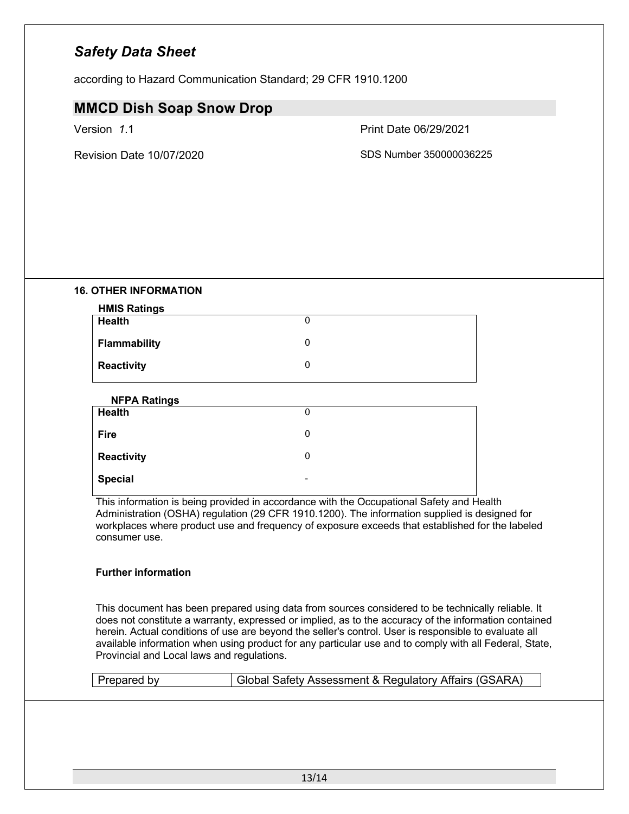according to Hazard Communication Standard; 29 CFR 1910.1200

### **MMCD Dish Soap Snow Drop**

Version *1*.1 Print Date 06/29/2021

Revision Date 10/07/2020 SDS Number 350000036225

#### **16. OTHER INFORMATION**

| <b>HMIS Ratings</b> |   |  |
|---------------------|---|--|
| <b>Health</b>       |   |  |
| <b>Flammability</b> | 0 |  |
| <b>Reactivity</b>   | 0 |  |

| <b>NFPA Ratings</b> |                          |  |
|---------------------|--------------------------|--|
| <b>Health</b>       | 0                        |  |
| <b>Fire</b>         | 0                        |  |
| <b>Reactivity</b>   | 0                        |  |
| <b>Special</b>      | $\overline{\phantom{a}}$ |  |

This information is being provided in accordance with the Occupational Safety and Health Administration (OSHA) regulation (29 CFR 1910.1200). The information supplied is designed for workplaces where product use and frequency of exposure exceeds that established for the labeled consumer use.

#### **Further information**

This document has been prepared using data from sources considered to be technically reliable. It does not constitute a warranty, expressed or implied, as to the accuracy of the information contained herein. Actual conditions of use are beyond the seller's control. User is responsible to evaluate all available information when using product for any particular use and to comply with all Federal, State, Provincial and Local laws and regulations.

| Prepared by | Global Safety Assessment & Regulatory Affairs (GSARA) |
|-------------|-------------------------------------------------------|
|             |                                                       |